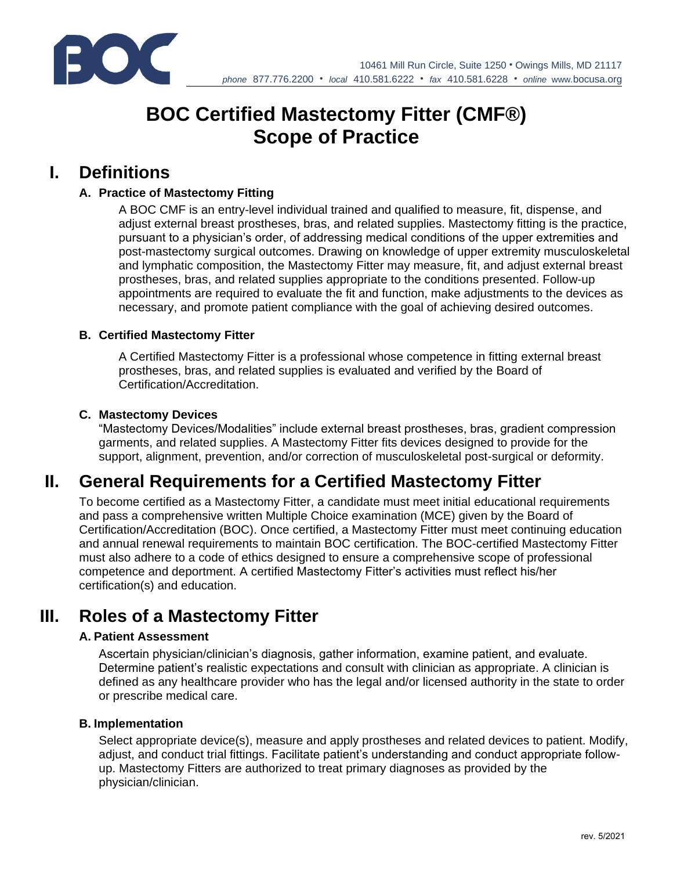

# **BOC Certified Mastectomy Fitter (CMF®) Scope of Practice**

### **I. Definitions**

#### **A. Practice of Mastectomy Fitting**

A BOC CMF is an entry-level individual trained and qualified to measure, fit, dispense, and adjust external breast prostheses, bras, and related supplies. Mastectomy fitting is the practice, pursuant to a physician's order, of addressing medical conditions of the upper extremities and post-mastectomy surgical outcomes. Drawing on knowledge of upper extremity musculoskeletal and lymphatic composition, the Mastectomy Fitter may measure, fit, and adjust external breast prostheses, bras, and related supplies appropriate to the conditions presented. Follow-up appointments are required to evaluate the fit and function, make adjustments to the devices as necessary, and promote patient compliance with the goal of achieving desired outcomes.

#### **B. Certified Mastectomy Fitter**

A Certified Mastectomy Fitter is a professional whose competence in fitting external breast prostheses, bras, and related supplies is evaluated and verified by the Board of Certification/Accreditation.

#### **C. Mastectomy Devices**

"Mastectomy Devices/Modalities" include external breast prostheses, bras, gradient compression garments, and related supplies. A Mastectomy Fitter fits devices designed to provide for the support, alignment, prevention, and/or correction of musculoskeletal post-surgical or deformity.

## **II. General Requirements for a Certified Mastectomy Fitter**

To become certified as a Mastectomy Fitter, a candidate must meet initial educational requirements and pass a comprehensive written Multiple Choice examination (MCE) given by the Board of Certification/Accreditation (BOC). Once certified, a Mastectomy Fitter must meet continuing education and annual renewal requirements to maintain BOC certification. The BOC-certified Mastectomy Fitter must also adhere to a code of ethics designed to ensure a comprehensive scope of professional competence and deportment. A certified Mastectomy Fitter's activities must reflect his/her certification(s) and education.

### **III. Roles of a Mastectomy Fitter**

#### **A. Patient Assessment**

Ascertain physician/clinician's diagnosis, gather information, examine patient, and evaluate. Determine patient's realistic expectations and consult with clinician as appropriate. A clinician is defined as any healthcare provider who has the legal and/or licensed authority in the state to order or prescribe medical care.

#### **B. Implementation**

Select appropriate device(s), measure and apply prostheses and related devices to patient. Modify, adjust, and conduct trial fittings. Facilitate patient's understanding and conduct appropriate followup. Mastectomy Fitters are authorized to treat primary diagnoses as provided by the physician/clinician.